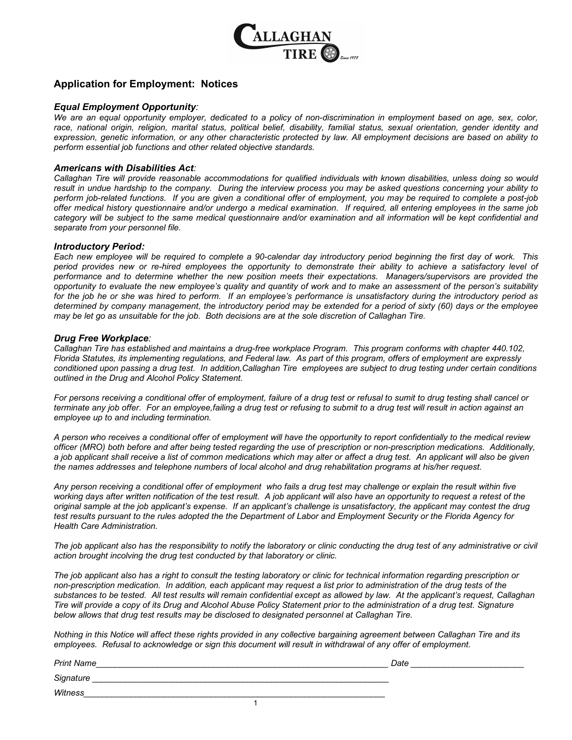

### **Application for Employment: Notices**

### *Equal Employment Opportunity:*

*We are an equal opportunity employer, dedicated to a policy of non-discrimination in employment based on age, sex, color, race, national origin, religion, marital status, political belief, disability, familial status, sexual orientation, gender identity and expression, genetic information, or any other characteristic protected by law. All employment decisions are based on ability to perform essential job functions and other related objective standards.*

### *Americans with Disabilities Act:*

*Callaghan Tire will provide reasonable accommodations for qualified individuals with known disabilities, unless doing so would result in undue hardship to the company. During the interview process you may be asked questions concerning your ability to perform job-related functions. If you are given a conditional offer of employment, you may be required to complete a post-job offer medical history questionnaire and/or undergo a medical examination. If required, all entering employees in the same job category will be subject to the same medical questionnaire and/or examination and all information will be kept confidential and separate from your personnel file.*

#### *Introductory Period:*

*Each new employee will be required to complete a 90-calendar day introductory period beginning the first day of work. This period provides new or re-hired employees the opportunity to demonstrate their ability to achieve a satisfactory level of performance and to determine whether the new position meets their expectations. Managers/supervisors are provided the opportunity to evaluate the new employee's quality and quantity of work and to make an assessment of the person's suitability for the job he or she was hired to perform. If an employee's performance is unsatisfactory during the introductory period as determined by company management, the introductory period may be extended for a period of sixty (60) days or the employee may be let go as unsuitable for the job. Both decisions are at the sole discretion of Callaghan Tire.*

#### *Drug Free Workplace:*

*Callaghan Tire has established and maintains a drug-free workplace Program. This program conforms with chapter 440.102, Florida Statutes, its implementing regulations, and Federal law. As part of this program, offers of employment are expressly conditioned upon passing a drug test. In addition,Callaghan Tire employees are subject to drug testing under certain conditions outlined in the Drug and Alcohol Policy Statement.*

*For persons receiving a conditional offer of employment, failure of a drug test or refusal to sumit to drug testing shall cancel or terminate any job offer. For an employee,failing a drug test or refusing to submit to a drug test will result in action against an employee up to and including termination.*

*A person who receives a conditional offer of employment will have the opportunity to report confidentially to the medical review officer (MRO) both before and after being tested regarding the use of prescription or non-prescription medications. Additionally, a job applicant shall receive a list of common medications which may alter or affect a drug test. An applicant will also be given the names addresses and telephone numbers of local alcohol and drug rehabilitation programs at his/her request.*

*Any person receiving a conditional offer of employment who fails a drug test may challenge or explain the result within five working days after written notification of the test result. A job applicant will also have an opportunity to request a retest of the original sample at the job applicant's expense. If an applicant's challenge is unsatisfactory, the applicant may contest the drug test results pursuant to the rules adopted the the Department of Labor and Employment Security or the Florida Agency for Health Care Administration.*

The job applicant also has the responsibility to notify the laboratory or clinic conducting the drug test of any administrative or civil *action brought incolving the drug test conducted by that laboratory or clinic.*

*The job applicant also has a right to consult the testing laboratory or clinic for technical information regarding prescription or non-prescription medication. In addition, each applicant may request a list prior to administration of the drug tests of the substances to be tested. All test results will remain confidential except as allowed by law. At the applicant's request, Callaghan Tire will provide a copy of its Drug and Alcohol Abuse Policy Statement prior to the administration of a drug test. Signature below allows that drug test results may be disclosed to designated personnel at Callaghan Tire.*

*Nothing in this Notice will affect these rights provided in any collective bargaining agreement between Callaghan Tire and its employees. Refusal to acknowledge or sign this document will result in withdrawal of any offer of employment.*

*Print Name\_\_\_\_\_\_\_\_\_\_\_\_\_\_\_\_\_\_\_\_\_\_\_\_\_\_\_\_\_\_\_\_\_\_\_\_\_\_\_\_\_\_\_\_\_\_\_\_\_\_\_\_\_\_\_\_\_\_\_\_\_\_ Date \_\_\_\_\_\_\_\_\_\_\_\_\_\_\_\_\_\_\_\_\_\_\_\_*

*Signature \_\_\_\_\_\_\_\_\_\_\_\_\_\_\_\_\_\_\_\_\_\_\_\_\_\_\_\_\_\_\_\_\_\_\_\_\_\_\_\_\_\_\_\_\_\_\_\_\_\_\_\_\_\_\_\_\_\_\_\_\_\_\_*

*Witness\_\_\_\_\_\_\_\_\_\_\_\_\_\_\_\_\_\_\_\_\_\_\_\_\_\_\_\_\_\_\_\_\_\_\_\_\_\_\_\_\_\_\_\_\_\_\_\_\_\_\_\_\_\_\_\_\_\_\_\_\_\_\_\_*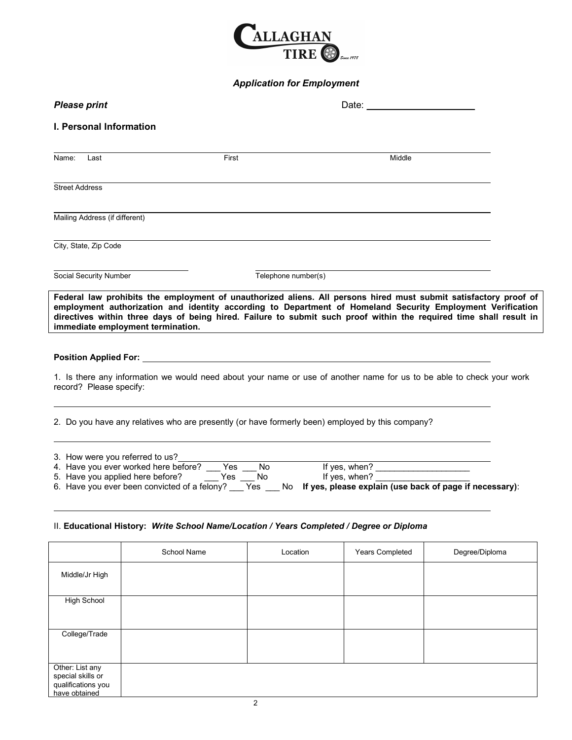

# *Application for Employment*

| <b>Please print</b>                                                                                                                                                                                                                                                                                                                                                                       |                     |        |  |
|-------------------------------------------------------------------------------------------------------------------------------------------------------------------------------------------------------------------------------------------------------------------------------------------------------------------------------------------------------------------------------------------|---------------------|--------|--|
| I. Personal Information                                                                                                                                                                                                                                                                                                                                                                   |                     |        |  |
| Last<br>Name:                                                                                                                                                                                                                                                                                                                                                                             | First               | Middle |  |
| <b>Street Address</b>                                                                                                                                                                                                                                                                                                                                                                     |                     |        |  |
| Mailing Address (if different)                                                                                                                                                                                                                                                                                                                                                            |                     |        |  |
| City, State, Zip Code                                                                                                                                                                                                                                                                                                                                                                     |                     |        |  |
| Social Security Number                                                                                                                                                                                                                                                                                                                                                                    | Telephone number(s) |        |  |
| Federal law prohibits the employment of unauthorized aliens. All persons hired must submit satisfactory proof of<br>employment authorization and identity according to Department of Homeland Security Employment Verification<br>directives within three days of being hired. Failure to submit such proof within the required time shall result in<br>immediate employment termination. |                     |        |  |
|                                                                                                                                                                                                                                                                                                                                                                                           |                     |        |  |
| 1. Is there any information we would need about your name or use of another name for us to be able to check your work<br>record? Please specify:                                                                                                                                                                                                                                          |                     |        |  |
| 2. Do you have any relatives who are presently (or have formerly been) employed by this company?                                                                                                                                                                                                                                                                                          |                     |        |  |
| 3. How were you referred to us?<br>3. How were you referred to us r<br>4. Have you ever worked here before? Thes Theory of the state of the state of the state of the state of the state of the state of the state of the state of the state of the state of the st                                                                                                                       |                     |        |  |
|                                                                                                                                                                                                                                                                                                                                                                                           |                     |        |  |

### II. **Educational History:** *Write School Name/Location / Years Completed / Degree or Diploma*

|                                                                             | School Name | Location | Years Completed | Degree/Diploma |
|-----------------------------------------------------------------------------|-------------|----------|-----------------|----------------|
| Middle/Jr High                                                              |             |          |                 |                |
| <b>High School</b>                                                          |             |          |                 |                |
| College/Trade                                                               |             |          |                 |                |
| Other: List any<br>special skills or<br>qualifications you<br>have obtained |             |          |                 |                |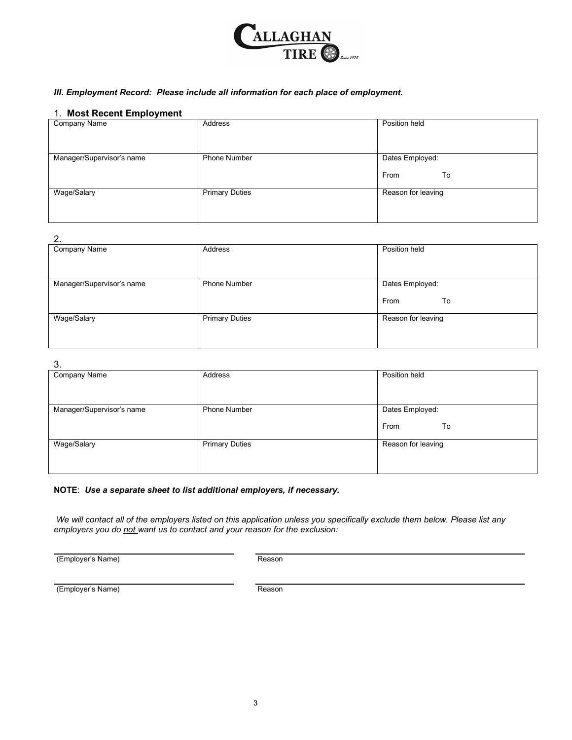

### *III. Employment Record: Please include all information for each place of employment.*

### 1. **Most Recent Employment**

| Company Name              | Address               | Position held      |
|---------------------------|-----------------------|--------------------|
|                           |                       |                    |
|                           |                       |                    |
| Manager/Supervisor's name | <b>Phone Number</b>   | Dates Employed:    |
|                           |                       |                    |
|                           |                       | From<br>To         |
|                           |                       |                    |
| Wage/Salary               | <b>Primary Duties</b> | Reason for leaving |
|                           |                       |                    |
|                           |                       |                    |
|                           |                       |                    |

### $\overline{2}$

| z.                        |                       |                    |
|---------------------------|-----------------------|--------------------|
| Company Name              | Address               | Position held      |
|                           |                       |                    |
|                           |                       |                    |
|                           |                       |                    |
|                           |                       |                    |
| Manager/Supervisor's name | Phone Number          | Dates Employed:    |
|                           |                       |                    |
|                           |                       | To<br>From         |
|                           |                       |                    |
|                           |                       |                    |
| Wage/Salary               | <b>Primary Duties</b> | Reason for leaving |
|                           |                       |                    |
|                           |                       |                    |
|                           |                       |                    |
|                           |                       |                    |

### 3.

| $\cdot$ .                 |                       |                    |
|---------------------------|-----------------------|--------------------|
| Company Name              | Address               | Position held      |
|                           |                       |                    |
|                           |                       |                    |
|                           |                       |                    |
|                           |                       |                    |
|                           |                       |                    |
| Manager/Supervisor's name | <b>Phone Number</b>   | Dates Employed:    |
|                           |                       |                    |
|                           |                       |                    |
|                           |                       | To<br>From         |
|                           |                       |                    |
|                           |                       |                    |
| Wage/Salary               | <b>Primary Duties</b> | Reason for leaving |
|                           |                       |                    |
|                           |                       |                    |
|                           |                       |                    |
|                           |                       |                    |
|                           |                       |                    |

### **NOTE**: *Use a separate sheet to list additional employers, if necessary.*

*We will contact all of the employers listed on this application unless you specifically exclude them below. Please list any employers you do not want us to contact and your reason for the exclusion:*

(Employer's Name) and the control of the Reason

(Employer's Name) Reason